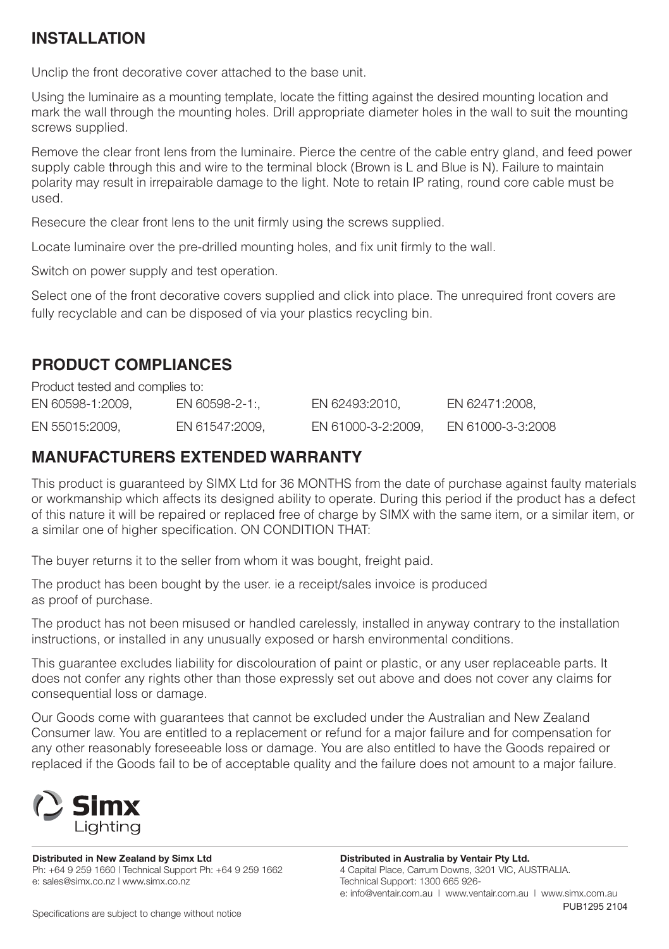# **INSTALLATION**

Unclip the front decorative cover attached to the base unit.

Using the luminaire as a mounting template, locate the fitting against the desired mounting location and mark the wall through the mounting holes. Drill appropriate diameter holes in the wall to suit the mounting screws supplied.

Remove the clear front lens from the luminaire. Pierce the centre of the cable entry gland, and feed power supply cable through this and wire to the terminal block (Brown is L and Blue is N). Failure to maintain polarity may result in irrepairable damage to the light. Note to retain IP rating, round core cable must be used.

Resecure the clear front lens to the unit firmly using the screws supplied.

Locate luminaire over the pre-drilled mounting holes, and fix unit firmly to the wall.

Switch on power supply and test operation.

Select one of the front decorative covers supplied and click into place. The unrequired front covers are fully recyclable and can be disposed of via your plastics recycling bin.

## **PRODUCT COMPLIANCES**

Product tested and complies to: EN 60598-1:2009, EN 60598-2-1:, EN 62493:2010, EN 62471:2008, EN 55015:2009, EN 61547:2009, EN 61000-3-2:2009, EN 61000-3-3:2008

# **MANUFACTURERS EXTENDED WARRANTY**

This product is guaranteed by SIMX Ltd for 36 MONTHS from the date of purchase against faulty materials or workmanship which affects its designed ability to operate. During this period if the product has a defect of this nature it will be repaired or replaced free of charge by SIMX with the same item, or a similar item, or a similar one of higher specification. ON CONDITION THAT:

The buyer returns it to the seller from whom it was bought, freight paid.

The product has been bought by the user. ie a receipt/sales invoice is produced as proof of purchase.

The product has not been misused or handled carelessly, installed in anyway contrary to the installation instructions, or installed in any unusually exposed or harsh environmental conditions.

This guarantee excludes liability for discolouration of paint or plastic, or any user replaceable parts. It does not confer any rights other than those expressly set out above and does not cover any claims for consequential loss or damage.

Our Goods come with guarantees that cannot be excluded under the Australian and New Zealand Consumer law. You are entitled to a replacement or refund for a major failure and for compensation for any other reasonably foreseeable loss or damage. You are also entitled to have the Goods repaired or replaced if the Goods fail to be of acceptable quality and the failure does not amount to a major failure.



**Distributed in New Zealand by Simx Ltd** Ph: +64 9 259 1660 | Technical Support Ph: +64 9 259 1662 e: sales@simx.co.nz | www.simx.co.nz

**Distributed in Australia by Ventair Pty Ltd.** 4 Capital Place, Carrum Downs, 3201 VIC, AUSTRALIA. Technical Support: 1300 665 926 e: info@ventair.com.au | www.ventair.com.au | www.simx.com.au